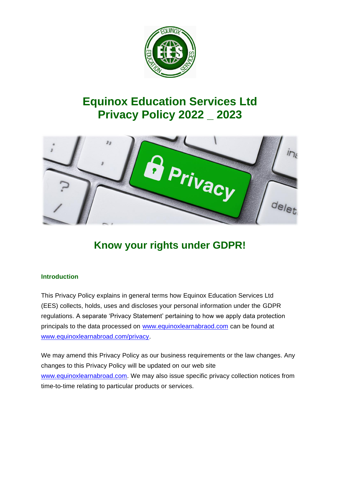

# **Equinox Education Services Ltd Privacy Policy 2022 \_ 2023**



# **Know your rights under GDPR!**

## **Introduction**

This Privacy Policy explains in general terms how Equinox Education Services Ltd (EES) collects, holds, uses and discloses your personal information under the GDPR regulations. A separate 'Privacy Statement' pertaining to how we apply data protection principals to the data processed on [www.equinoxlearnabraod.com](http://www.equinoxlearnabraod.com/) can be found at [www.equinoxlearnabroad.com/privacy.](http://www.equinoxlearnabroad.com/privacy)

We may amend this Privacy Policy as our business requirements or the law changes. Any changes to this Privacy Policy will be updated on our web site [www.equinoxlearnabroad.com.](http://www.equinoxlearnabroad.com/) We may also issue specific privacy collection notices from time-to-time relating to particular products or services.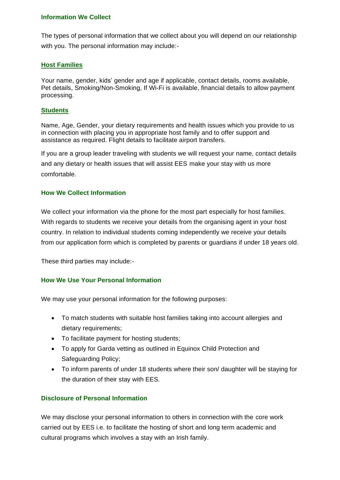## **Information We Collect**

The types of personal information that we collect about you will depend on our relationship with you. The personal information may include:-

## **Host Families**

Your name, gender, kids' gender and age if applicable, contact details, rooms available, Pet details, Smoking/Non-Smoking, If Wi-Fi is available, financial details to allow payment processing.

## **Students**

Name, Age, Gender, your dietary requirements and health issues which you provide to us in connection with placing you in appropriate host family and to offer support and assistance as required. Flight details to facilitate airport transfers.

If you are a group leader traveling with students we will request your name, contact details and any dietary or health issues that will assist EES make your stay with us more comfortable.

## **How We Collect Information**

We collect your information via the phone for the most part especially for host families. With regards to students we receive your details from the organising agent in your host country. In relation to individual students coming independently we receive your details from our application form which is completed by parents or guardians if under 18 years old.

These third parties may include:-

## **How We Use Your Personal Information**

We may use your personal information for the following purposes:

- To match students with suitable host families taking into account allergies and dietary requirements;
- To facilitate payment for hosting students;
- To apply for Garda vetting as outlined in Equinox Child Protection and Safeguarding Policy;
- To inform parents of under 18 students where their son/ daughter will be staying for the duration of their stay with EES.

## **Disclosure of Personal Information**

We may disclose your personal information to others in connection with the core work carried out by EES i.e. to facilitate the hosting of short and long term academic and cultural programs which involves a stay with an Irish family.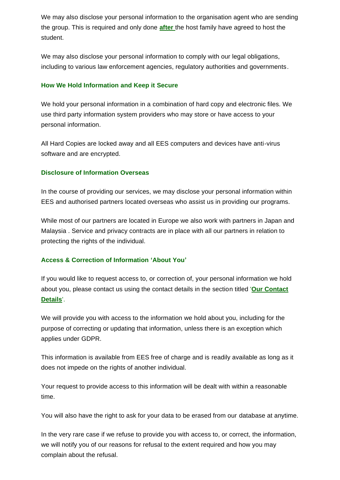We may also disclose your personal information to the organisation agent who are sending the group. This is required and only done **after** the host family have agreed to host the student.

We may also disclose your personal information to comply with our legal obligations, including to various law enforcement agencies, regulatory authorities and governments.

## **How We Hold Information and Keep it Secure**

We hold your personal information in a combination of hard copy and electronic files. We use third party information system providers who may store or have access to your personal information.

All Hard Copies are locked away and all EES computers and devices have anti-virus software and are encrypted.

## **Disclosure of Information Overseas**

In the course of providing our services, we may disclose your personal information within EES and authorised partners located overseas who assist us in providing our programs.

While most of our partners are located in Europe we also work with partners in Japan and Malaysia . Service and privacy contracts are in place with all our partners in relation to protecting the rights of the individual.

#### **Access & Correction of Information 'About You'**

If you would like to request access to, or correction of, your personal information we hold about you, please contact us using the contact details in the section titled '**[Our Contact](http://www.jetstar.com/au/en/privacy-policy#our-contact-details)  [Details](http://www.jetstar.com/au/en/privacy-policy#our-contact-details)**'.

We will provide you with access to the information we hold about you, including for the purpose of correcting or updating that information, unless there is an exception which applies under GDPR.

This information is available from EES free of charge and is readily available as long as it does not impede on the rights of another individual.

Your request to provide access to this information will be dealt with within a reasonable time.

You will also have the right to ask for your data to be erased from our database at anytime.

In the very rare case if we refuse to provide you with access to, or correct, the information, we will notify you of our reasons for refusal to the extent required and how you may complain about the refusal.